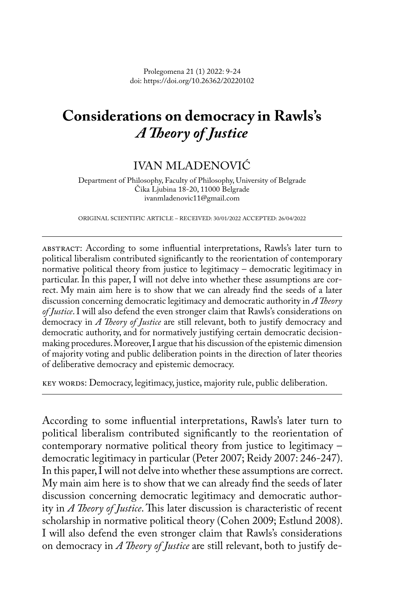Prolegomena 21 (1) 2022: 9-24 doi: https://doi.org/10.26362/20220102

# **Considerations on democracy in Rawls's**  *A Theory of Justice*

## IVAN MLADENOVIĆ

Department of Philosophy, Faculty of Philosophy, University of Belgrade Čika Ljubina 18-20, 11000 Belgrade ivanmladenovic11@gmail.com

ORIGINAL SCIENTIFIC ARTICLE – RECEIVED: 30/01/2022 ACCEPTED: 26/04/2022

abstract: According to some influential interpretations, Rawls's later turn to political liberalism contributed significantly to the reorientation of contemporary normative political theory from justice to legitimacy – democratic legitimacy in particular. In this paper, I will not delve into whether these assumptions are correct. My main aim here is to show that we can already find the seeds of a later discussion concerning democratic legitimacy and democratic authority in *A Theory of Justice*. I will also defend the even stronger claim that Rawls's considerations on democracy in *A Theory of Justice* are still relevant, both to justify democracy and democratic authority, and for normatively justifying certain democratic decisionmaking procedures. Moreover, I argue that his discussion of the epistemic dimension of majority voting and public deliberation points in the direction of later theories of deliberative democracy and epistemic democracy.

key words: Democracy, legitimacy, justice, majority rule, public deliberation.

According to some influential interpretations, Rawls's later turn to political liberalism contributed significantly to the reorientation of contemporary normative political theory from justice to legitimacy – democratic legitimacy in particular (Peter 2007; Reidy 2007: 246-247). In this paper, I will not delve into whether these assumptions are correct. My main aim here is to show that we can already find the seeds of later discussion concerning democratic legitimacy and democratic authority in *A Theory of Justice*. This later discussion is characteristic of recent scholarship in normative political theory (Cohen 2009; Estlund 2008). I will also defend the even stronger claim that Rawls's considerations on democracy in *A Theory of Justice* are still relevant, both to justify de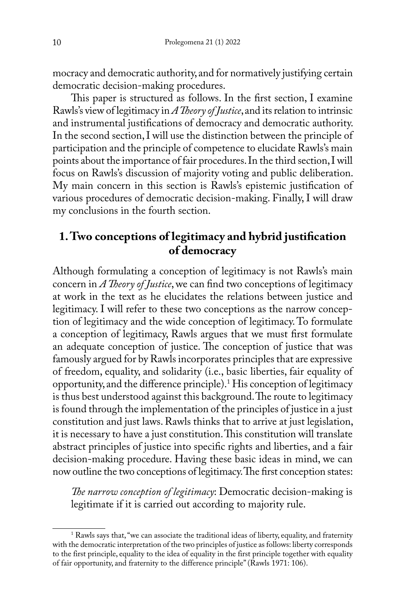mocracy and democratic authority, and for normatively justifying certain democratic decision-making procedures.

This paper is structured as follows. In the first section, I examine Rawls's view of legitimacy in *A Theory of Justice*, and its relation to intrinsic and instrumental justifications of democracy and democratic authority. In the second section, I will use the distinction between the principle of participation and the principle of competence to elucidate Rawls's main points about the importance of fair procedures. In the third section, I will focus on Rawls's discussion of majority voting and public deliberation. My main concern in this section is Rawls's epistemic justification of various procedures of democratic decision-making. Finally, I will draw my conclusions in the fourth section.

## **1. Two conceptions of legitimacy and hybrid justification of democracy**

Although formulating a conception of legitimacy is not Rawls's main concern in *A Theory of Justice*, we can find two conceptions of legitimacy at work in the text as he elucidates the relations between justice and legitimacy. I will refer to these two conceptions as the narrow conception of legitimacy and the wide conception of legitimacy. To formulate a conception of legitimacy, Rawls argues that we must first formulate an adequate conception of justice. The conception of justice that was famously argued for by Rawls incorporates principles that are expressive of freedom, equality, and solidarity (i.e., basic liberties, fair equality of opportunity, and the difference principle).1 His conception of legitimacy is thus best understood against this background. The route to legitimacy is found through the implementation of the principles of justice in a just constitution and just laws. Rawls thinks that to arrive at just legislation, it is necessary to have a just constitution. This constitution will translate abstract principles of justice into specific rights and liberties, and a fair decision-making procedure. Having these basic ideas in mind, we can now outline the two conceptions of legitimacy. The first conception states:

*The narrow conception of legitimacy*: Democratic decision-making is legitimate if it is carried out according to majority rule.

<sup>&</sup>lt;sup>1</sup> Rawls says that, "we can associate the traditional ideas of liberty, equality, and fraternity with the democratic interpretation of the two principles of justice as follows: liberty corresponds to the first principle, equality to the idea of equality in the first principle together with equality of fair opportunity, and fraternity to the difference principle" (Rawls 1971: 106).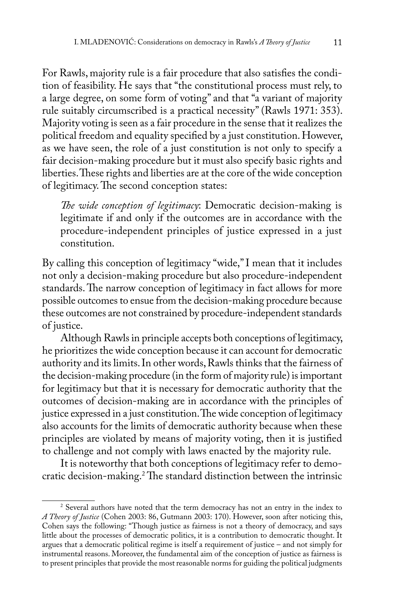For Rawls, majority rule is a fair procedure that also satisfies the condition of feasibility. He says that "the constitutional process must rely, to a large degree, on some form of voting" and that "a variant of majority rule suitably circumscribed is a practical necessity" (Rawls 1971: 353). Majority voting is seen as a fair procedure in the sense that it realizes the political freedom and equality specified by a just constitution. However, as we have seen, the role of a just constitution is not only to specify a fair decision-making procedure but it must also specify basic rights and liberties. These rights and liberties are at the core of the wide conception of legitimacy. The second conception states:

*The wide conception of legitimacy*: Democratic decision-making is legitimate if and only if the outcomes are in accordance with the procedure-independent principles of justice expressed in a just constitution.

By calling this conception of legitimacy "wide," I mean that it includes not only a decision-making procedure but also procedure-independent standards. The narrow conception of legitimacy in fact allows for more possible outcomes to ensue from the decision-making procedure because these outcomes are not constrained by procedure-independent standards of justice.

Although Rawls in principle accepts both conceptions of legitimacy, he prioritizes the wide conception because it can account for democratic authority and its limits. In other words, Rawls thinks that the fairness of the decision-making procedure (in the form of majority rule) is important for legitimacy but that it is necessary for democratic authority that the outcomes of decision-making are in accordance with the principles of justice expressed in a just constitution. The wide conception of legitimacy also accounts for the limits of democratic authority because when these principles are violated by means of majority voting, then it is justified to challenge and not comply with laws enacted by the majority rule.

It is noteworthy that both conceptions of legitimacy refer to democratic decision-making.2 The standard distinction between the intrinsic

<sup>&</sup>lt;sup>2</sup> Several authors have noted that the term democracy has not an entry in the index to *A Theory of Justice* (Cohen 2003: 86, Gutmann 2003: 170). However, soon after noticing this, Cohen says the following: "Though justice as fairness is not a theory of democracy, and says little about the processes of democratic politics, it is a contribution to democratic thought. It argues that a democratic political regime is itself a requirement of justice – and not simply for instrumental reasons. Moreover, the fundamental aim of the conception of justice as fairness is to present principles that provide the most reasonable norms for guiding the political judgments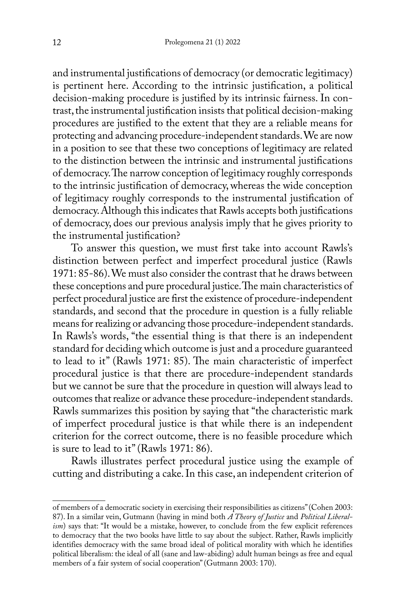and instrumental justifications of democracy (or democratic legitimacy) is pertinent here. According to the intrinsic justification, a political decision-making procedure is justified by its intrinsic fairness. In contrast, the instrumental justification insists that political decision-making procedures are justified to the extent that they are a reliable means for protecting and advancing procedure-independent standards. We are now in a position to see that these two conceptions of legitimacy are related to the distinction between the intrinsic and instrumental justifications of democracy. The narrow conception of legitimacy roughly corresponds to the intrinsic justification of democracy, whereas the wide conception of legitimacy roughly corresponds to the instrumental justification of democracy. Although this indicates that Rawls accepts both justifications of democracy, does our previous analysis imply that he gives priority to the instrumental justification?

To answer this question, we must first take into account Rawls's distinction between perfect and imperfect procedural justice (Rawls 1971: 85-86). We must also consider the contrast that he draws between these conceptions and pure procedural justice. The main characteristics of perfect procedural justice are first the existence of procedure-independent standards, and second that the procedure in question is a fully reliable means for realizing or advancing those procedure-independent standards. In Rawls's words, "the essential thing is that there is an independent standard for deciding which outcome is just and a procedure guaranteed to lead to it" (Rawls 1971: 85). The main characteristic of imperfect procedural justice is that there are procedure-independent standards but we cannot be sure that the procedure in question will always lead to outcomes that realize or advance these procedure-independent standards. Rawls summarizes this position by saying that "the characteristic mark of imperfect procedural justice is that while there is an independent criterion for the correct outcome, there is no feasible procedure which is sure to lead to it" (Rawls 1971: 86).

Rawls illustrates perfect procedural justice using the example of cutting and distributing a cake. In this case, an independent criterion of

of members of a democratic society in exercising their responsibilities as citizens" (Cohen 2003: 87). In a similar vein, Gutmann (having in mind both *A Theory of Justice* and *Political Liberalism*) says that: "It would be a mistake, however, to conclude from the few explicit references to democracy that the two books have little to say about the subject. Rather, Rawls implicitly identifies democracy with the same broad ideal of political morality with which he identifies political liberalism: the ideal of all (sane and law-abiding) adult human beings as free and equal members of a fair system of social cooperation" (Gutmann 2003: 170).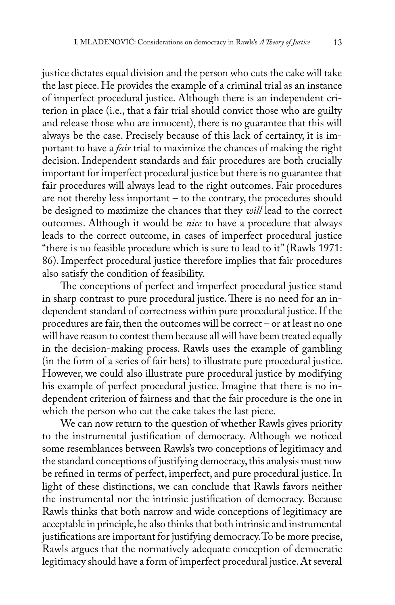justice dictates equal division and the person who cuts the cake will take the last piece. He provides the example of a criminal trial as an instance of imperfect procedural justice. Although there is an independent criterion in place (i.e., that a fair trial should convict those who are guilty and release those who are innocent), there is no guarantee that this will always be the case. Precisely because of this lack of certainty, it is important to have a *fair* trial to maximize the chances of making the right decision. Independent standards and fair procedures are both crucially important for imperfect procedural justice but there is no guarantee that fair procedures will always lead to the right outcomes. Fair procedures are not thereby less important – to the contrary, the procedures should be designed to maximize the chances that they *will* lead to the correct outcomes. Although it would be *nice* to have a procedure that always leads to the correct outcome, in cases of imperfect procedural justice "there is no feasible procedure which is sure to lead to it" (Rawls 1971: 86). Imperfect procedural justice therefore implies that fair procedures also satisfy the condition of feasibility.

The conceptions of perfect and imperfect procedural justice stand in sharp contrast to pure procedural justice. There is no need for an independent standard of correctness within pure procedural justice. If the procedures are fair, then the outcomes will be correct – or at least no one will have reason to contest them because all will have been treated equally in the decision-making process. Rawls uses the example of gambling (in the form of a series of fair bets) to illustrate pure procedural justice. However, we could also illustrate pure procedural justice by modifying his example of perfect procedural justice. Imagine that there is no independent criterion of fairness and that the fair procedure is the one in which the person who cut the cake takes the last piece.

We can now return to the question of whether Rawls gives priority to the instrumental justification of democracy. Although we noticed some resemblances between Rawls's two conceptions of legitimacy and the standard conceptions of justifying democracy, this analysis must now be refined in terms of perfect, imperfect, and pure procedural justice. In light of these distinctions, we can conclude that Rawls favors neither the instrumental nor the intrinsic justification of democracy. Because Rawls thinks that both narrow and wide conceptions of legitimacy are acceptable in principle, he also thinks that both intrinsic and instrumental justifications are important for justifying democracy. To be more precise, Rawls argues that the normatively adequate conception of democratic legitimacy should have a form of imperfect procedural justice. At several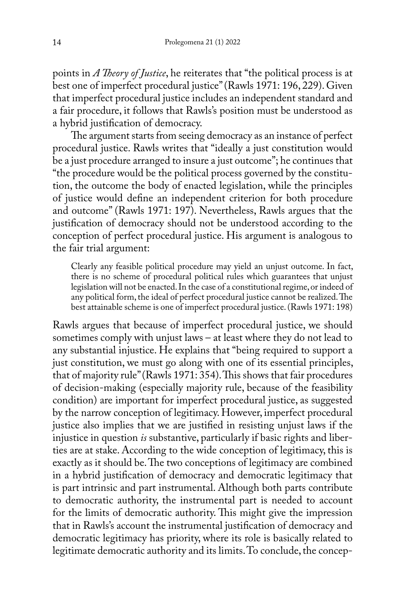points in *A Theory of Justice*, he reiterates that "the political process is at best one of imperfect procedural justice" (Rawls 1971: 196, 229). Given that imperfect procedural justice includes an independent standard and a fair procedure, it follows that Rawls's position must be understood as a hybrid justification of democracy.

The argument starts from seeing democracy as an instance of perfect procedural justice. Rawls writes that "ideally a just constitution would be a just procedure arranged to insure a just outcome"; he continues that "the procedure would be the political process governed by the constitution, the outcome the body of enacted legislation, while the principles of justice would define an independent criterion for both procedure and outcome" (Rawls 1971: 197). Nevertheless, Rawls argues that the justification of democracy should not be understood according to the conception of perfect procedural justice. His argument is analogous to the fair trial argument:

Clearly any feasible political procedure may yield an unjust outcome. In fact, there is no scheme of procedural political rules which guarantees that unjust legislation will not be enacted. In the case of a constitutional regime, or indeed of any political form, the ideal of perfect procedural justice cannot be realized. The best attainable scheme is one of imperfect procedural justice. (Rawls 1971: 198)

Rawls argues that because of imperfect procedural justice, we should sometimes comply with unjust laws – at least where they do not lead to any substantial injustice. He explains that "being required to support a just constitution, we must go along with one of its essential principles, that of majority rule" (Rawls 1971: 354). This shows that fair procedures of decision-making (especially majority rule, because of the feasibility condition) are important for imperfect procedural justice, as suggested by the narrow conception of legitimacy. However, imperfect procedural justice also implies that we are justified in resisting unjust laws if the injustice in question *is* substantive, particularly if basic rights and liberties are at stake. According to the wide conception of legitimacy, this is exactly as it should be. The two conceptions of legitimacy are combined in a hybrid justification of democracy and democratic legitimacy that is part intrinsic and part instrumental. Although both parts contribute to democratic authority, the instrumental part is needed to account for the limits of democratic authority. This might give the impression that in Rawls's account the instrumental justification of democracy and democratic legitimacy has priority, where its role is basically related to legitimate democratic authority and its limits. To conclude, the concep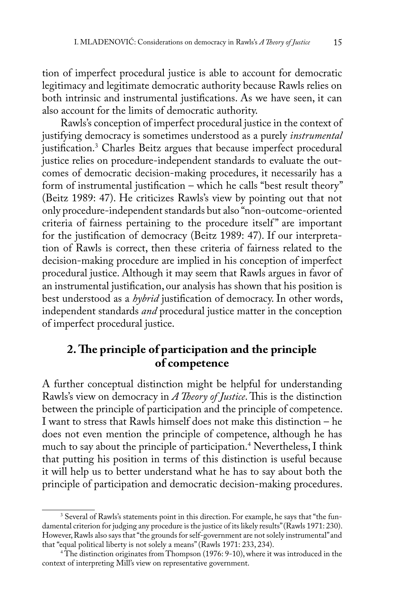tion of imperfect procedural justice is able to account for democratic legitimacy and legitimate democratic authority because Rawls relies on both intrinsic and instrumental justifications. As we have seen, it can also account for the limits of democratic authority.

Rawls's conception of imperfect procedural justice in the context of justifying democracy is sometimes understood as a purely *instrumental* justification.3 Charles Beitz argues that because imperfect procedural justice relies on procedure-independent standards to evaluate the outcomes of democratic decision-making procedures, it necessarily has a form of instrumental justification – which he calls "best result theory" (Beitz 1989: 47). He criticizes Rawls's view by pointing out that not only procedure-independent standards but also "non-outcome-oriented criteria of fairness pertaining to the procedure itself" are important for the justification of democracy (Beitz 1989: 47). If our interpretation of Rawls is correct, then these criteria of fairness related to the decision-making procedure are implied in his conception of imperfect procedural justice. Although it may seem that Rawls argues in favor of an instrumental justification, our analysis has shown that his position is best understood as a *hybrid* justification of democracy. In other words, independent standards *and* procedural justice matter in the conception of imperfect procedural justice.

## **2. The principle of participation and the principle of competence**

A further conceptual distinction might be helpful for understanding Rawls's view on democracy in *A Theory of Justice*. This is the distinction between the principle of participation and the principle of competence. I want to stress that Rawls himself does not make this distinction – he does not even mention the principle of competence, although he has much to say about the principle of participation.<sup>4</sup> Nevertheless, I think that putting his position in terms of this distinction is useful because it will help us to better understand what he has to say about both the principle of participation and democratic decision-making procedures.

<sup>&</sup>lt;sup>3</sup> Several of Rawls's statements point in this direction. For example, he says that "the fundamental criterion for judging any procedure is the justice of its likely results" (Rawls 1971: 230). However, Rawls also says that "the grounds for self-government are not solely instrumental" and that "equal political liberty is not solely a means" (Rawls 1971: 233, 234).

<sup>4</sup> The distinction originates from Thompson (1976: 9-10), where it was introduced in the context of interpreting Mill's view on representative government.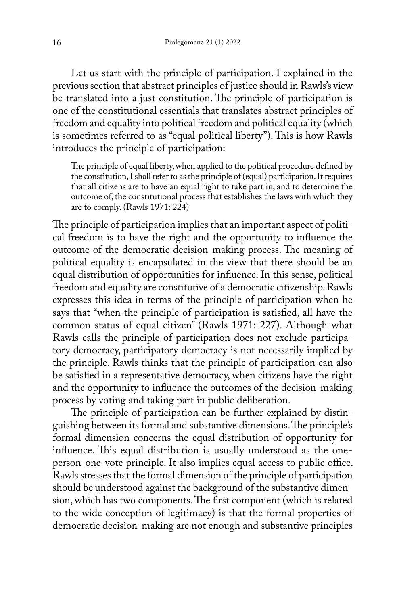Let us start with the principle of participation. I explained in the previous section that abstract principles of justice should in Rawls's view be translated into a just constitution. The principle of participation is one of the constitutional essentials that translates abstract principles of freedom and equality into political freedom and political equality (which is sometimes referred to as "equal political liberty"). This is how Rawls introduces the principle of participation:

The principle of equal liberty, when applied to the political procedure defined by the constitution, I shall refer to as the principle of (equal) participation. It requires that all citizens are to have an equal right to take part in, and to determine the outcome of, the constitutional process that establishes the laws with which they are to comply. (Rawls 1971: 224)

The principle of participation implies that an important aspect of political freedom is to have the right and the opportunity to influence the outcome of the democratic decision-making process. The meaning of political equality is encapsulated in the view that there should be an equal distribution of opportunities for influence. In this sense, political freedom and equality are constitutive of a democratic citizenship. Rawls expresses this idea in terms of the principle of participation when he says that "when the principle of participation is satisfied, all have the common status of equal citizen" (Rawls 1971: 227). Although what Rawls calls the principle of participation does not exclude participatory democracy, participatory democracy is not necessarily implied by the principle. Rawls thinks that the principle of participation can also be satisfied in a representative democracy, when citizens have the right and the opportunity to influence the outcomes of the decision-making process by voting and taking part in public deliberation.

The principle of participation can be further explained by distinguishing between its formal and substantive dimensions. The principle's formal dimension concerns the equal distribution of opportunity for influence. This equal distribution is usually understood as the oneperson-one-vote principle. It also implies equal access to public office. Rawls stresses that the formal dimension of the principle of participation should be understood against the background of the substantive dimension, which has two components. The first component (which is related to the wide conception of legitimacy) is that the formal properties of democratic decision-making are not enough and substantive principles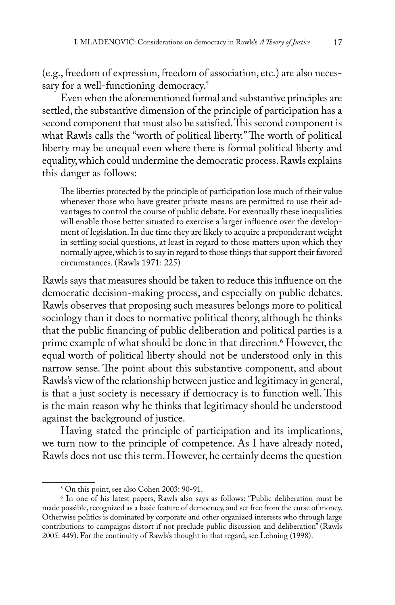(e.g., freedom of expression, freedom of association, etc.) are also necessary for a well-functioning democracy.<sup>5</sup>

Even when the aforementioned formal and substantive principles are settled, the substantive dimension of the principle of participation has a second component that must also be satisfied. This second component is what Rawls calls the "worth of political liberty." The worth of political liberty may be unequal even where there is formal political liberty and equality, which could undermine the democratic process. Rawls explains this danger as follows:

The liberties protected by the principle of participation lose much of their value whenever those who have greater private means are permitted to use their advantages to control the course of public debate. For eventually these inequalities will enable those better situated to exercise a larger influence over the development of legislation. In due time they are likely to acquire a preponderant weight in settling social questions, at least in regard to those matters upon which they normally agree, which is to say in regard to those things that support their favored circumstances. (Rawls 1971: 225)

Rawls says that measures should be taken to reduce this influence on the democratic decision-making process, and especially on public debates. Rawls observes that proposing such measures belongs more to political sociology than it does to normative political theory, although he thinks that the public financing of public deliberation and political parties is a prime example of what should be done in that direction.6 However, the equal worth of political liberty should not be understood only in this narrow sense. The point about this substantive component, and about Rawls's view of the relationship between justice and legitimacy in general, is that a just society is necessary if democracy is to function well. This is the main reason why he thinks that legitimacy should be understood against the background of justice.

Having stated the principle of participation and its implications, we turn now to the principle of competence. As I have already noted, Rawls does not use this term. However, he certainly deems the question

<sup>5</sup> On this point, see also Cohen 2003: 90-91.

<sup>6</sup> In one of his latest papers, Rawls also says as follows: "Public deliberation must be made possible, recognized as a basic feature of democracy, and set free from the curse of money. Otherwise politics is dominated by corporate and other organized interests who through large contributions to campaigns distort if not preclude public discussion and deliberation" (Rawls 2005: 449). For the continuity of Rawls's thought in that regard, see Lehning (1998).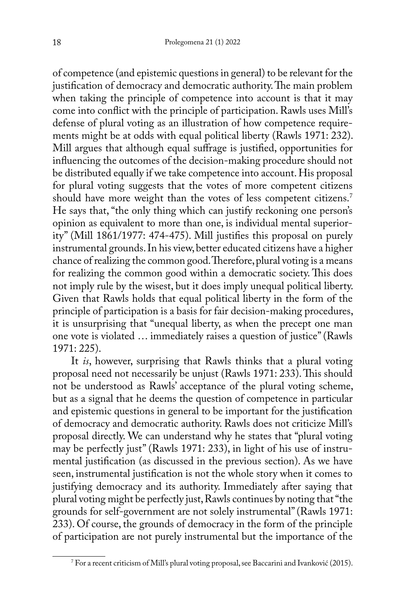of competence (and epistemic questions in general) to be relevant for the justification of democracy and democratic authority. The main problem when taking the principle of competence into account is that it may come into conflict with the principle of participation. Rawls uses Mill's defense of plural voting as an illustration of how competence requirements might be at odds with equal political liberty (Rawls 1971: 232). Mill argues that although equal suffrage is justified, opportunities for influencing the outcomes of the decision-making procedure should not be distributed equally if we take competence into account. His proposal for plural voting suggests that the votes of more competent citizens should have more weight than the votes of less competent citizens.<sup>7</sup> He says that, "the only thing which can justify reckoning one person's opinion as equivalent to more than one, is individual mental superiority" (Mill 1861/1977: 474-475). Mill justifies this proposal on purely instrumental grounds. In his view, better educated citizens have a higher chance of realizing the common good. Therefore, plural voting is a means for realizing the common good within a democratic society. This does not imply rule by the wisest, but it does imply unequal political liberty. Given that Rawls holds that equal political liberty in the form of the principle of participation is a basis for fair decision-making procedures, it is unsurprising that "unequal liberty, as when the precept one man one vote is violated … immediately raises a question of justice" (Rawls 1971: 225).

It *is*, however, surprising that Rawls thinks that a plural voting proposal need not necessarily be unjust (Rawls 1971: 233). This should not be understood as Rawls' acceptance of the plural voting scheme, but as a signal that he deems the question of competence in particular and epistemic questions in general to be important for the justification of democracy and democratic authority. Rawls does not criticize Mill's proposal directly. We can understand why he states that "plural voting may be perfectly just" (Rawls 1971: 233), in light of his use of instrumental justification (as discussed in the previous section). As we have seen, instrumental justification is not the whole story when it comes to justifying democracy and its authority. Immediately after saying that plural voting might be perfectly just, Rawls continues by noting that "the grounds for self-government are not solely instrumental" (Rawls 1971: 233). Of course, the grounds of democracy in the form of the principle of participation are not purely instrumental but the importance of the

 $^\gamma$  For a recent criticism of Mill's plural voting proposal, see Baccarini and Ivanković (2015).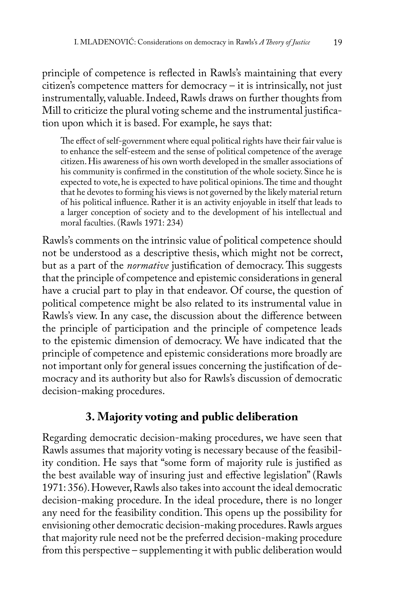principle of competence is reflected in Rawls's maintaining that every citizen's competence matters for democracy – it is intrinsically, not just instrumentally, valuable. Indeed, Rawls draws on further thoughts from Mill to criticize the plural voting scheme and the instrumental justification upon which it is based. For example, he says that:

The effect of self-government where equal political rights have their fair value is to enhance the self-esteem and the sense of political competence of the average citizen. His awareness of his own worth developed in the smaller associations of his community is confirmed in the constitution of the whole society. Since he is expected to vote, he is expected to have political opinions. The time and thought that he devotes to forming his views is not governed by the likely material return of his political influence. Rather it is an activity enjoyable in itself that leads to a larger conception of society and to the development of his intellectual and moral faculties. (Rawls 1971: 234)

Rawls's comments on the intrinsic value of political competence should not be understood as a descriptive thesis, which might not be correct, but as a part of the *normative* justification of democracy. This suggests that the principle of competence and epistemic considerations in general have a crucial part to play in that endeavor. Of course, the question of political competence might be also related to its instrumental value in Rawls's view. In any case, the discussion about the difference between the principle of participation and the principle of competence leads to the epistemic dimension of democracy. We have indicated that the principle of competence and epistemic considerations more broadly are not important only for general issues concerning the justification of democracy and its authority but also for Rawls's discussion of democratic decision-making procedures.

#### **3. Majority voting and public deliberation**

Regarding democratic decision-making procedures, we have seen that Rawls assumes that majority voting is necessary because of the feasibility condition. He says that "some form of majority rule is justified as the best available way of insuring just and effective legislation" (Rawls 1971: 356). However, Rawls also takes into account the ideal democratic decision-making procedure. In the ideal procedure, there is no longer any need for the feasibility condition. This opens up the possibility for envisioning other democratic decision-making procedures. Rawls argues that majority rule need not be the preferred decision-making procedure from this perspective – supplementing it with public deliberation would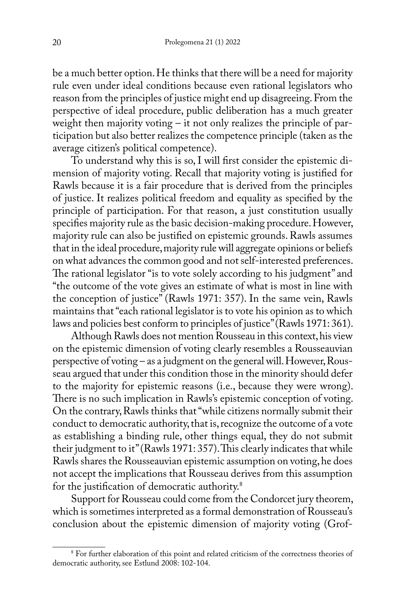be a much better option. He thinks that there will be a need for majority rule even under ideal conditions because even rational legislators who reason from the principles of justice might end up disagreeing. From the perspective of ideal procedure, public deliberation has a much greater weight then majority voting – it not only realizes the principle of participation but also better realizes the competence principle (taken as the average citizen's political competence).

To understand why this is so, I will first consider the epistemic dimension of majority voting. Recall that majority voting is justified for Rawls because it is a fair procedure that is derived from the principles of justice. It realizes political freedom and equality as specified by the principle of participation. For that reason, a just constitution usually specifies majority rule as the basic decision-making procedure. However, majority rule can also be justified on epistemic grounds. Rawls assumes that in the ideal procedure, majority rule will aggregate opinions or beliefs on what advances the common good and not self-interested preferences. The rational legislator "is to vote solely according to his judgment" and "the outcome of the vote gives an estimate of what is most in line with the conception of justice" (Rawls 1971: 357). In the same vein, Rawls maintains that "each rational legislator is to vote his opinion as to which laws and policies best conform to principles of justice" (Rawls 1971: 361).

Although Rawls does not mention Rousseau in this context, his view on the epistemic dimension of voting clearly resembles a Rousseauvian perspective of voting – as a judgment on the general will. However, Rousseau argued that under this condition those in the minority should defer to the majority for epistemic reasons (i.e., because they were wrong). There is no such implication in Rawls's epistemic conception of voting. On the contrary, Rawls thinks that "while citizens normally submit their conduct to democratic authority, that is, recognize the outcome of a vote as establishing a binding rule, other things equal, they do not submit their judgment to it" (Rawls 1971: 357). This clearly indicates that while Rawls shares the Rousseauvian epistemic assumption on voting, he does not accept the implications that Rousseau derives from this assumption for the justification of democratic authority.<sup>8</sup>

Support for Rousseau could come from the Condorcet jury theorem, which is sometimes interpreted as a formal demonstration of Rousseau's conclusion about the epistemic dimension of majority voting (Grof-

<sup>8</sup> For further elaboration of this point and related criticism of the correctness theories of democratic authority, see Estlund 2008: 102-104.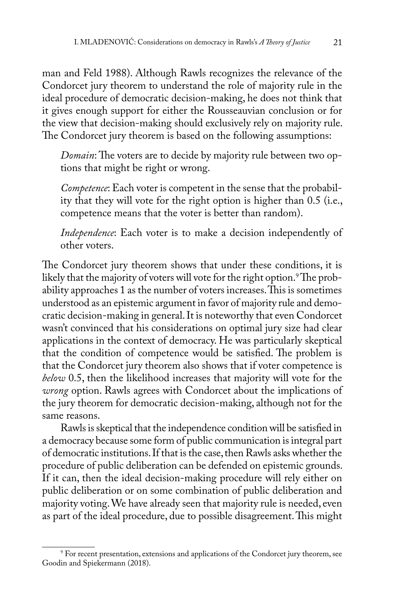man and Feld 1988). Although Rawls recognizes the relevance of the Condorcet jury theorem to understand the role of majority rule in the ideal procedure of democratic decision-making, he does not think that it gives enough support for either the Rousseauvian conclusion or for the view that decision-making should exclusively rely on majority rule. The Condorcet jury theorem is based on the following assumptions:

*Domain*: The voters are to decide by majority rule between two options that might be right or wrong.

*Competence*: Each voter is competent in the sense that the probability that they will vote for the right option is higher than 0.5 (i.e., competence means that the voter is better than random).

*Independence*: Each voter is to make a decision independently of other voters.

The Condorcet jury theorem shows that under these conditions, it is likely that the majority of voters will vote for the right option.<sup>9</sup> The probability approaches 1 as the number of voters increases. This is sometimes understood as an epistemic argument in favor of majority rule and democratic decision-making in general. It is noteworthy that even Condorcet wasn't convinced that his considerations on optimal jury size had clear applications in the context of democracy. He was particularly skeptical that the condition of competence would be satisfied. The problem is that the Condorcet jury theorem also shows that if voter competence is *below* 0.5, then the likelihood increases that majority will vote for the *wrong* option. Rawls agrees with Condorcet about the implications of the jury theorem for democratic decision-making, although not for the same reasons.

Rawls is skeptical that the independence condition will be satisfied in a democracy because some form of public communication is integral part of democratic institutions. If that is the case, then Rawls asks whether the procedure of public deliberation can be defended on epistemic grounds. If it can, then the ideal decision-making procedure will rely either on public deliberation or on some combination of public deliberation and majority voting. We have already seen that majority rule is needed, even as part of the ideal procedure, due to possible disagreement. This might

<sup>9</sup> For recent presentation, extensions and applications of the Condorcet jury theorem, see Goodin and Spiekermann (2018).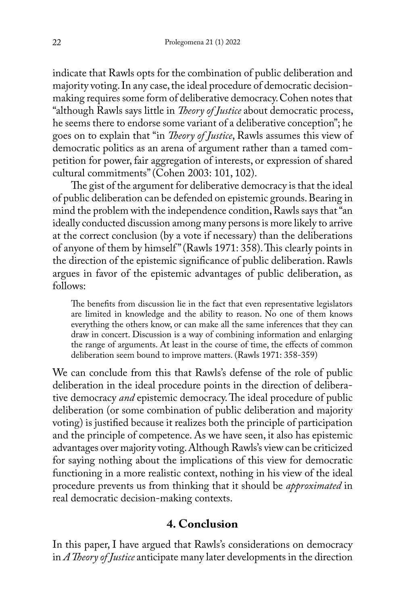indicate that Rawls opts for the combination of public deliberation and majority voting. In any case, the ideal procedure of democratic decisionmaking requires some form of deliberative democracy. Cohen notes that "although Rawls says little in *Theory of Justice* about democratic process, he seems there to endorse some variant of a deliberative conception"; he goes on to explain that "in *Theory of Justice*, Rawls assumes this view of democratic politics as an arena of argument rather than a tamed competition for power, fair aggregation of interests, or expression of shared cultural commitments" (Cohen 2003: 101, 102).

The gist of the argument for deliberative democracy is that the ideal of public deliberation can be defended on epistemic grounds. Bearing in mind the problem with the independence condition, Rawls says that "an ideally conducted discussion among many persons is more likely to arrive at the correct conclusion (by a vote if necessary) than the deliberations of anyone of them by himself" (Rawls 1971: 358). This clearly points in the direction of the epistemic significance of public deliberation. Rawls argues in favor of the epistemic advantages of public deliberation, as follows:

The benefits from discussion lie in the fact that even representative legislators are limited in knowledge and the ability to reason. No one of them knows everything the others know, or can make all the same inferences that they can draw in concert. Discussion is a way of combining information and enlarging the range of arguments. At least in the course of time, the effects of common deliberation seem bound to improve matters. (Rawls 1971: 358-359)

We can conclude from this that Rawls's defense of the role of public deliberation in the ideal procedure points in the direction of deliberative democracy *and* epistemic democracy. The ideal procedure of public deliberation (or some combination of public deliberation and majority voting) is justified because it realizes both the principle of participation and the principle of competence. As we have seen, it also has epistemic advantages over majority voting. Although Rawls's view can be criticized for saying nothing about the implications of this view for democratic functioning in a more realistic context, nothing in his view of the ideal procedure prevents us from thinking that it should be *approximated* in real democratic decision-making contexts.

#### **4. Conclusion**

In this paper, I have argued that Rawls's considerations on democracy in *A Theory of Justice* anticipate many later developments in the direction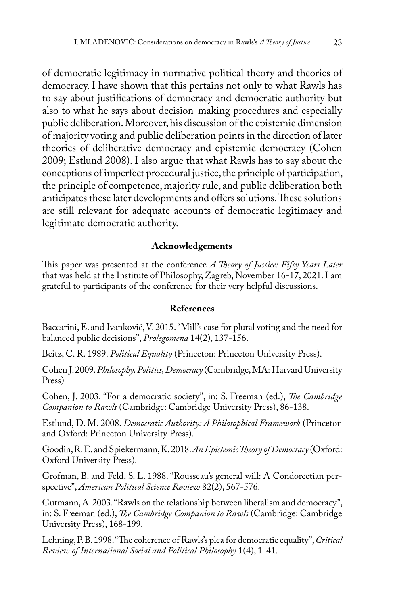of democratic legitimacy in normative political theory and theories of democracy. I have shown that this pertains not only to what Rawls has to say about justifications of democracy and democratic authority but also to what he says about decision-making procedures and especially public deliberation. Moreover, his discussion of the epistemic dimension of majority voting and public deliberation points in the direction of later theories of deliberative democracy and epistemic democracy (Cohen 2009; Estlund 2008). I also argue that what Rawls has to say about the conceptions of imperfect procedural justice, the principle of participation, the principle of competence, majority rule, and public deliberation both anticipates these later developments and offers solutions. These solutions are still relevant for adequate accounts of democratic legitimacy and legitimate democratic authority.

#### **Acknowledgements**

This paper was presented at the conference *A Theory of Justice: Fifty Years Later* that was held at the Institute of Philosophy, Zagreb, November 16-17, 2021. I am grateful to participants of the conference for their very helpful discussions.

#### **References**

Baccarini, E. and Ivanković, V. 2015. "Mill's case for plural voting and the need for balanced public decisions", *Prolegomena* 14(2), 137-156.

Beitz, C. R. 1989. *Political Equality* (Princeton: Princeton University Press).

Cohen J. 2009. *Philosophy, Politics, Democracy* (Cambridge, MA: Harvard University Press)

Cohen, J. 2003. "For a democratic society", in: S. Freeman (ed.), *The Cambridge Companion to Rawls* (Cambridge: Cambridge University Press), 86-138.

Estlund, D. M. 2008. *Democratic Authority: A Philosophical Framework* (Princeton and Oxford: Princeton University Press).

Goodin, R. E. and Spiekermann, K. 2018. *An Epistemic Theory of Democracy* (Oxford: Oxford University Press).

Grofman, B. and Feld, S. L. 1988. "Rousseau's general will: A Condorcetian perspective", *American Political Science Review* 82(2), 567-576.

Gutmann, A. 2003. "Rawls on the relationship between liberalism and democracy", in: S. Freeman (ed.), *The Cambridge Companion to Rawls* (Cambridge: Cambridge University Press), 168-199.

Lehning, P. B. 1998. "The coherence of Rawls's plea for democratic equality", *Critical Review of International Social and Political Philosophy* 1(4), 1-41.